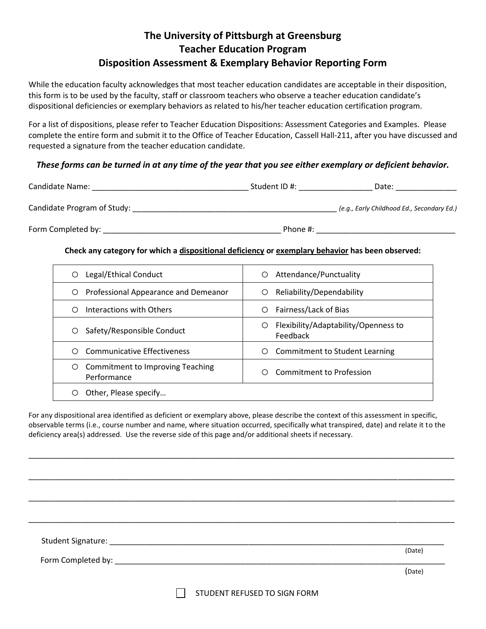## **The University of Pittsburgh at Greensburg Teacher Education Program Disposition Assessment & Exemplary Behavior Reporting Form**

While the education faculty acknowledges that most teacher education candidates are acceptable in their disposition, this form is to be used by the faculty, staff or classroom teachers who observe a teacher education candidate's dispositional deficiencies or exemplary behaviors as related to his/her teacher education certification program.

For a list of dispositions, please refer to Teacher Education Dispositions: Assessment Categories and Examples. Please complete the entire form and submit it to the Office of Teacher Education, Cassell Hall-211, after you have discussed and requested a signature from the teacher education candidate.

## *These forms can be turned in at any time of the year that you see either exemplary or deficient behavior.*

| Candidate Name:             | Student ID #: | Date:                                      |
|-----------------------------|---------------|--------------------------------------------|
| Candidate Program of Study: |               | (e.g., Early Childhood Ed., Secondary Ed.) |
| Form Completed by:          | Phone #:      |                                            |

## **Check any category for which a dispositional deficiency or exemplary behavior has been observed:**

| Legal/Ethical Conduct<br>O                           | Attendance/Punctuality<br>О                           |
|------------------------------------------------------|-------------------------------------------------------|
| Professional Appearance and Demeanor<br>O            | Reliability/Dependability<br>О                        |
| Interactions with Others                             | Fairness/Lack of Bias<br>Ο                            |
| Safety/Responsible Conduct<br>O                      | Flexibility/Adaptability/Openness to<br>O<br>Feedback |
| <b>Communicative Effectiveness</b>                   | Commitment to Student Learning<br>О                   |
| Commitment to Improving Teaching<br>O<br>Performance | Commitment to Profession<br>∩                         |
| Other, Please specify                                |                                                       |

For any dispositional area identified as deficient or exemplary above, please describe the context of this assessment in specific, observable terms (i.e., course number and name, where situation occurred, specifically what transpired, date) and relate it to the deficiency area(s) addressed. Use the reverse side of this page and/or additional sheets if necessary.

\_\_\_\_\_\_\_\_\_\_\_\_\_\_\_\_\_\_\_\_\_\_\_\_\_\_\_\_\_\_\_\_\_\_\_\_\_\_\_\_\_\_\_\_\_\_\_\_\_\_\_\_\_\_\_\_\_\_\_\_\_\_\_\_\_\_\_\_\_\_\_\_\_\_\_\_\_\_\_\_\_\_\_\_\_\_\_\_\_\_\_\_\_\_\_\_\_\_

\_\_\_\_\_\_\_\_\_\_\_\_\_\_\_\_\_\_\_\_\_\_\_\_\_\_\_\_\_\_\_\_\_\_\_\_\_\_\_\_\_\_\_\_\_\_\_\_\_\_\_\_\_\_\_\_\_\_\_\_\_\_\_\_\_\_\_\_\_\_\_\_\_\_\_\_\_\_\_\_\_\_\_\_\_\_\_\_\_\_\_\_\_\_\_\_\_\_

\_\_\_\_\_\_\_\_\_\_\_\_\_\_\_\_\_\_\_\_\_\_\_\_\_\_\_\_\_\_\_\_\_\_\_\_\_\_\_\_\_\_\_\_\_\_\_\_\_\_\_\_\_\_\_\_\_\_\_\_\_\_\_\_\_\_\_\_\_\_\_\_\_\_\_\_\_\_\_\_\_\_\_\_\_\_\_\_\_\_\_\_\_\_\_\_\_\_

\_\_\_\_\_\_\_\_\_\_\_\_\_\_\_\_\_\_\_\_\_\_\_\_\_\_\_\_\_\_\_\_\_\_\_\_\_\_\_\_\_\_\_\_\_\_\_\_\_\_\_\_\_\_\_\_\_\_\_\_\_\_\_\_\_\_\_\_\_\_\_\_\_\_\_\_\_\_\_\_\_\_\_\_\_\_\_\_\_\_\_\_\_\_\_\_\_\_ Student Signature: \_\_\_\_\_\_\_\_\_\_\_\_\_\_\_\_\_\_\_\_\_\_\_\_\_\_\_\_\_\_\_\_\_\_\_\_\_\_\_\_\_\_\_\_\_\_\_\_\_\_\_\_\_\_\_\_\_\_\_\_\_\_\_\_\_\_\_\_\_\_\_\_\_\_\_\_\_ (Date) Form Completed by: (Date)